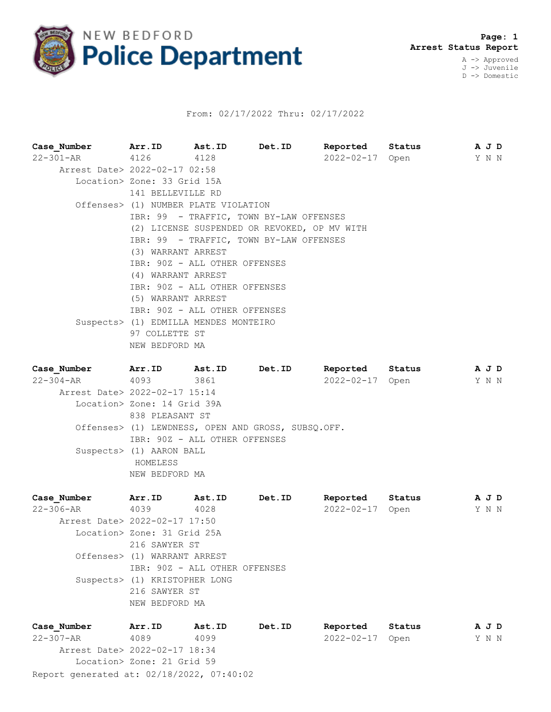

## From: 02/17/2022 Thru: 02/17/2022

| Case Number                   | Arr.ID Ast.ID                                |      | Det.ID |                  | Reported Status | A J D |  |  |  |
|-------------------------------|----------------------------------------------|------|--------|------------------|-----------------|-------|--|--|--|
| 22-301-AR 4126                |                                              | 4128 |        |                  | 2022-02-17 Open | Y N N |  |  |  |
| Arrest Date> 2022-02-17 02:58 |                                              |      |        |                  |                 |       |  |  |  |
|                               | Location> Zone: 33 Grid 15A                  |      |        |                  |                 |       |  |  |  |
|                               | 141 BELLEVILLE RD                            |      |        |                  |                 |       |  |  |  |
|                               | Offenses> (1) NUMBER PLATE VIOLATION         |      |        |                  |                 |       |  |  |  |
|                               | IBR: 99 - TRAFFIC, TOWN BY-LAW OFFENSES      |      |        |                  |                 |       |  |  |  |
|                               | (2) LICENSE SUSPENDED OR REVOKED, OP MV WITH |      |        |                  |                 |       |  |  |  |
|                               | IBR: 99 - TRAFFIC, TOWN BY-LAW OFFENSES      |      |        |                  |                 |       |  |  |  |
|                               | (3) WARRANT ARREST                           |      |        |                  |                 |       |  |  |  |
|                               | IBR: 90Z - ALL OTHER OFFENSES                |      |        |                  |                 |       |  |  |  |
|                               | (4) WARRANT ARREST                           |      |        |                  |                 |       |  |  |  |
|                               | IBR: 90Z - ALL OTHER OFFENSES                |      |        |                  |                 |       |  |  |  |
|                               | (5) WARRANT ARREST                           |      |        |                  |                 |       |  |  |  |
|                               | IBR: 90Z - ALL OTHER OFFENSES                |      |        |                  |                 |       |  |  |  |
|                               | Suspects> (1) EDMILLA MENDES MONTEIRO        |      |        |                  |                 |       |  |  |  |
|                               | 97 COLLETTE ST                               |      |        |                  |                 |       |  |  |  |
|                               | NEW BEDFORD MA                               |      |        |                  |                 |       |  |  |  |
|                               |                                              |      |        |                  |                 |       |  |  |  |
| Case Number Arr. ID Ast. ID   |                                              |      | Det.ID |                  | Reported Status | A J D |  |  |  |
| $22 - 304 - AR$ 4093          |                                              | 3861 |        | $2022 - 02 - 17$ | Open            | YNN   |  |  |  |
| Arrest Date> 2022-02-17 15:14 |                                              |      |        |                  |                 |       |  |  |  |
|                               | Location> Zone: 14 Grid 39A                  |      |        |                  |                 |       |  |  |  |
|                               | 838 PLEASANT ST                              |      |        |                  |                 |       |  |  |  |

 Offenses> (1) LEWDNESS, OPEN AND GROSS, SUBSQ.OFF. IBR: 90Z - ALL OTHER OFFENSES Suspects> (1) AARON BALL HOMELESS NEW BEDFORD MA

**Case\_Number Arr.ID Ast.ID Det.ID Reported Status A J D** 22-306-AR 4039 4028 2022-02-17 Open Y N N Arrest Date> 2022-02-17 17:50 Location> Zone: 31 Grid 25A 216 SAWYER ST Offenses> (1) WARRANT ARREST IBR: 90Z - ALL OTHER OFFENSES Suspects> (1) KRISTOPHER LONG 216 SAWYER ST NEW BEDFORD MA

| Case Number                               | Arr.ID                     | Ast.ID | Det.ID | Reported        | Status | AJD |
|-------------------------------------------|----------------------------|--------|--------|-----------------|--------|-----|
| 22-307-AR                                 | 4089                       | 4099   |        | 2022-02-17 Open |        | YNN |
| Arrest Date> 2022-02-17 18:34             |                            |        |        |                 |        |     |
|                                           | Location> Zone: 21 Grid 59 |        |        |                 |        |     |
| Report generated at: 02/18/2022, 07:40:02 |                            |        |        |                 |        |     |